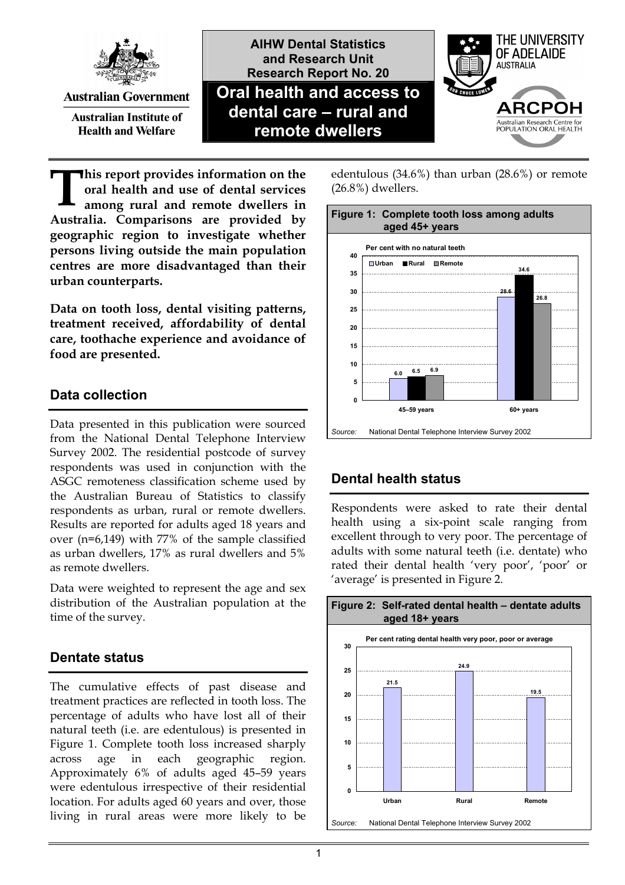

**Australian Government** 

**Australian Institute of Health and Welfare** 



(26.8%) dwellers.



**his report provides information on the oral health and use of dental services among rural and remote dwellers in Australia. Comparisons are provided by geographic region to investigate whether persons living outside the main population centres are more disadvantaged than their urban counterparts. T**

**Data on tooth loss, dental visiting patterns, treatment received, affordability of dental care, toothache experience and avoidance of food are presented.** 

# **Data collection**

Data presented in this publication were sourced from the National Dental Telephone Interview Survey 2002. The residential postcode of survey respondents was used in conjunction with the ASGC remoteness classification scheme used by the Australian Bureau of Statistics to classify respondents as urban, rural or remote dwellers. Results are reported for adults aged 18 years and over (n=6,149) with 77% of the sample classified as urban dwellers, 17% as rural dwellers and 5% as remote dwellers.

Data were weighted to represent the age and sex distribution of the Australian population at the time of the survey.

# **Dentate status**

The cumulative effects of past disease and treatment practices are reflected in tooth loss. The percentage of adults who have lost all of their natural teeth (i.e. are edentulous) is presented in Figure 1. Complete tooth loss increased sharply across age in each geographic region. Approximately 6% of adults aged 45–59 years were edentulous irrespective of their residential location. For adults aged 60 years and over, those living in rural areas were more likely to be **Figure 1: Complete tooth loss among adults aged 45+ years Per cent with no natural teeth 6.0 28.6 6.5 34.6 6.9 26.8 0 5 10 15 20 25 30 35 40 45–59 years 60+ years Urban Rural Remote** *Source:* National Dental Telephone Interview Survey 2002

edentulous (34.6%) than urban (28.6%) or remote

# **Dental health status**

Respondents were asked to rate their dental health using a six-point scale ranging from excellent through to very poor. The percentage of adults with some natural teeth (i.e. dentate) who rated their dental health 'very poor', 'poor' or 'average' is presented in Figure 2.

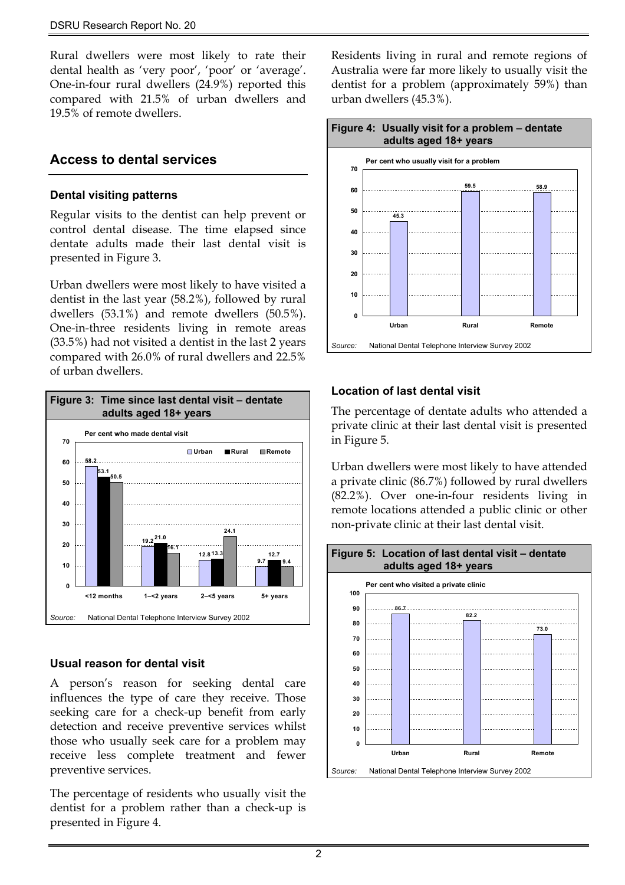Rural dwellers were most likely to rate their dental health as 'very poor', 'poor' or 'average'. One-in-four rural dwellers (24.9%) reported this compared with 21.5% of urban dwellers and 19.5% of remote dwellers.

### **Access to dental services**

#### **Dental visiting patterns**

Regular visits to the dentist can help prevent or control dental disease. The time elapsed since dentate adults made their last dental visit is presented in Figure 3.

Urban dwellers were most likely to have visited a dentist in the last year (58.2%), followed by rural dwellers (53.1%) and remote dwellers (50.5%). One-in-three residents living in remote areas (33.5%) had not visited a dentist in the last 2 years compared with 26.0% of rural dwellers and 22.5% of urban dwellers.



#### **Usual reason for dental visit**

A person's reason for seeking dental care influences the type of care they receive. Those seeking care for a check-up benefit from early detection and receive preventive services whilst those who usually seek care for a problem may receive less complete treatment and fewer preventive services.

The percentage of residents who usually visit the dentist for a problem rather than a check-up is presented in Figure 4.

Residents living in rural and remote regions of Australia were far more likely to usually visit the dentist for a problem (approximately 59%) than urban dwellers (45.3%).



#### **Location of last dental visit**

The percentage of dentate adults who attended a private clinic at their last dental visit is presented in Figure 5.

Urban dwellers were most likely to have attended a private clinic (86.7%) followed by rural dwellers (82.2%). Over one-in-four residents living in remote locations attended a public clinic or other non-private clinic at their last dental visit.

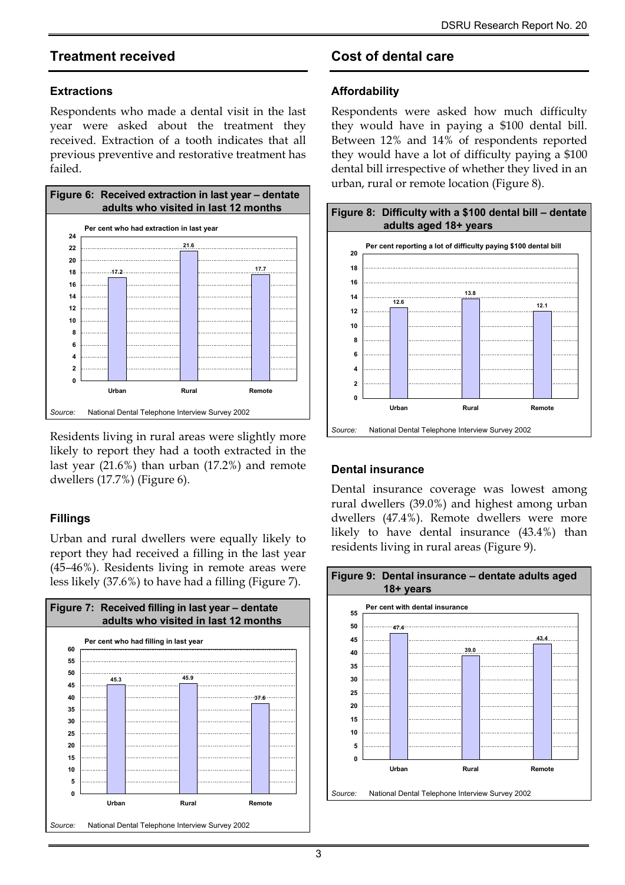## **Treatment received**

#### **Extractions**

Respondents who made a dental visit in the last year were asked about the treatment they received. Extraction of a tooth indicates that all previous preventive and restorative treatment has failed.



Residents living in rural areas were slightly more likely to report they had a tooth extracted in the last year (21.6%) than urban (17.2%) and remote dwellers (17.7%) (Figure 6).

### **Fillings**

Urban and rural dwellers were equally likely to report they had received a filling in the last year (45–46%). Residents living in remote areas were less likely (37.6%) to have had a filling (Figure 7).



# **Cost of dental care**

#### **Affordability**

Respondents were asked how much difficulty they would have in paying a \$100 dental bill. Between 12% and 14% of respondents reported they would have a lot of difficulty paying a \$100 dental bill irrespective of whether they lived in an urban, rural or remote location (Figure 8).



#### **Dental insurance**

Dental insurance coverage was lowest among rural dwellers (39.0%) and highest among urban dwellers (47.4%). Remote dwellers were more likely to have dental insurance (43.4%) than residents living in rural areas (Figure 9).